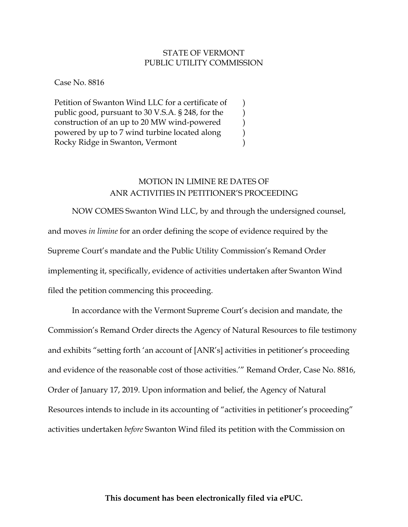## STATE OF VERMONT PUBLIC UTILITY COMMISSION

) ) ) ) )

Case No. 8816

Petition of Swanton Wind LLC for a certificate of public good, pursuant to 30 V.S.A. § 248, for the construction of an up to 20 MW wind-powered powered by up to 7 wind turbine located along Rocky Ridge in Swanton, Vermont

## MOTION IN LIMINE RE DATES OF ANR ACTIVITIES IN PETITIONER'S PROCEEDING

 NOW COMES Swanton Wind LLC, by and through the undersigned counsel, and moves *in limine* for an order defining the scope of evidence required by the Supreme Court's mandate and the Public Utility Commission's Remand Order implementing it, specifically, evidence of activities undertaken after Swanton Wind filed the petition commencing this proceeding.

In accordance with the Vermont Supreme Court's decision and mandate, the Commission's Remand Order directs the Agency of Natural Resources to file testimony and exhibits "setting forth 'an account of [ANR's] activities in petitioner's proceeding and evidence of the reasonable cost of those activities.'" Remand Order, Case No. 8816, Order of January 17, 2019. Upon information and belief, the Agency of Natural Resources intends to include in its accounting of "activities in petitioner's proceeding" activities undertaken *before* Swanton Wind filed its petition with the Commission on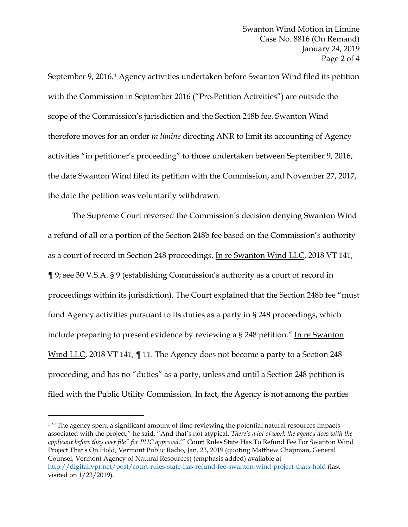September 9, 2016.1 Agency activities undertaken before Swanton Wind filed its petition with the Commission in September 2016 ("Pre-Petition Activities") are outside the scope of the Commission's jurisdiction and the Section 248b fee. Swanton Wind therefore moves for an order *in limine* directing ANR to limit its accounting of Agency activities "in petitioner's proceeding" to those undertaken between September 9, 2016, the date Swanton Wind filed its petition with the Commission, and November 27, 2017, the date the petition was voluntarily withdrawn.

The Supreme Court reversed the Commission's decision denying Swanton Wind a refund of all or a portion of the Section 248b fee based on the Commission's authority as a court of record in Section 248 proceedings. In re Swanton Wind LLC, 2018 VT 141, ¶ 9; see 30 V.S.A. § 9 (establishing Commission's authority as a court of record in proceedings within its jurisdiction). The Court explained that the Section 248b fee "must fund Agency activities pursuant to its duties as a party in § 248 proceedings, which include preparing to present evidence by reviewing a § 248 petition." In re Swanton Wind LLC, 2018 VT 141,  $\P$  11. The Agency does not become a party to a Section 248 proceeding, and has no "duties" as a party, unless and until a Section 248 petition is filed with the Public Utility Commission. In fact, the Agency is not among the parties

 $\overline{a}$ 

 $1$  "The agency spent a significant amount of time reviewing the potential natural resources impacts associated with the project," he said. "And that's not atypical. *There's a lot of work the agency does with the applicant before they ever file" for PUC approval*.'" Court Rules State Has To Refund Fee For Swanton Wind Project That's On Hold, Vermont Public Radio, Jan. 23, 2019 (quoting Matthew Chapman, General Counsel, Vermont Agency of Natural Resources) (emphasis added) available at http://digital.vpr.net/post/court-rules-state-has-refund-fee-swanton-wind-project-thats-hold (last visited on 1/23/2019).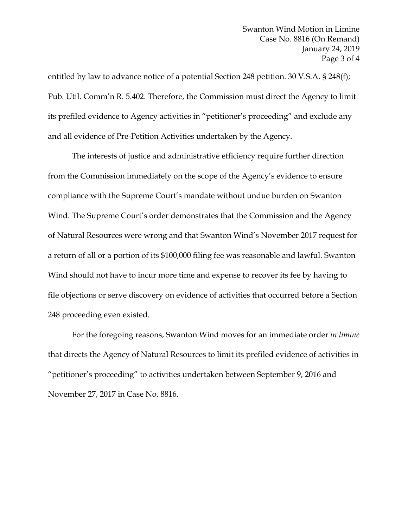entitled by law to advance notice of a potential Section 248 petition. 30 V.S.A. § 248(f); Pub. Util. Comm'n R. 5.402. Therefore, the Commission must direct the Agency to limit its prefiled evidence to Agency activities in "petitioner's proceeding" and exclude any and all evidence of Pre-Petition Activities undertaken by the Agency.

The interests of justice and administrative efficiency require further direction from the Commission immediately on the scope of the Agency's evidence to ensure compliance with the Supreme Court's mandate without undue burden on Swanton Wind. The Supreme Court's order demonstrates that the Commission and the Agency of Natural Resources were wrong and that Swanton Wind's November 2017 request for a return of all or a portion of its \$100,000 filing fee was reasonable and lawful. Swanton Wind should not have to incur more time and expense to recover its fee by having to file objections or serve discovery on evidence of activities that occurred before a Section 248 proceeding even existed.

For the foregoing reasons, Swanton Wind moves for an immediate order *in limine* that directs the Agency of Natural Resources to limit its prefiled evidence of activities in "petitioner's proceeding" to activities undertaken between September 9, 2016 and November 27, 2017 in Case No. 8816.